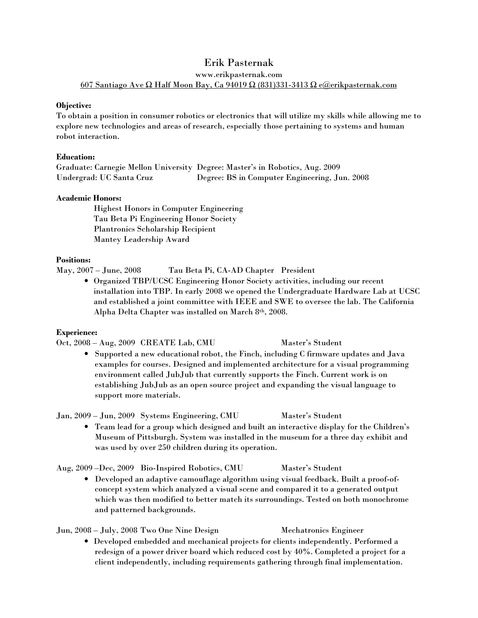# Erik Pasternak

www.erikpasternak.com 607 Santiago Ave Ω Half Moon Bay, Ca 94019 Ω (831)331-3413 Ω e@erikpasternak.com

# Objective:

To obtain a position in consumer robotics or electronics that will utilize my skills while allowing me to explore new technologies and areas of research, especially those pertaining to systems and human robot interaction.

# Education:

Graduate: Carnegie Mellon University Degree: Master's in Robotics, Aug. 2009 Undergrad: UC Santa Cruz Degree: BS in Computer Engineering, Jun. 2008

# Academic Honors:

 Highest Honors in Computer Engineering Tau Beta Pi Engineering Honor Society Plantronics Scholarship Recipient Mantey Leadership Award

# Positions:

May, 2007 – June, 2008 Tau Beta Pi, CA-AD Chapter President

• Organized TBP/UCSC Engineering Honor Society activities, including our recent installation into TBP. In early 2008 we opened the Undergraduate Hardware Lab at UCSC and established a joint committee with IEEE and SWE to oversee the lab. The California Alpha Delta Chapter was installed on March 8th, 2008.

#### Experience:

Oct, 2008 – Aug, 2009 CREATE Lab, CMU Master's Student

• Supported a new educational robot, the Finch, including C firmware updates and Java examples for courses. Designed and implemented architecture for a visual programming environment called JubJub that currently supports the Finch. Current work is on establishing JubJub as an open source project and expanding the visual language to support more materials.

Jan, 2009 – Jun, 2009 Systems Engineering, CMU Master's Student

• Team lead for a group which designed and built an interactive display for the Children's Museum of Pittsburgh. System was installed in the museum for a three day exhibit and was used by over 250 children during its operation.

Aug, 2009 –Dec, 2009 Bio-Inspired Robotics, CMU Master's Student

• Developed an adaptive camouflage algorithm using visual feedback. Built a proof-ofconcept system which analyzed a visual scene and compared it to a generated output which was then modified to better match its surroundings. Tested on both monochrome and patterned backgrounds.

Jun, 2008 – July, 2008 Two One Nine Design Mechatronics Engineer

• Developed embedded and mechanical projects for clients independently. Performed a redesign of a power driver board which reduced cost by 40%. Completed a project for a client independently, including requirements gathering through final implementation.